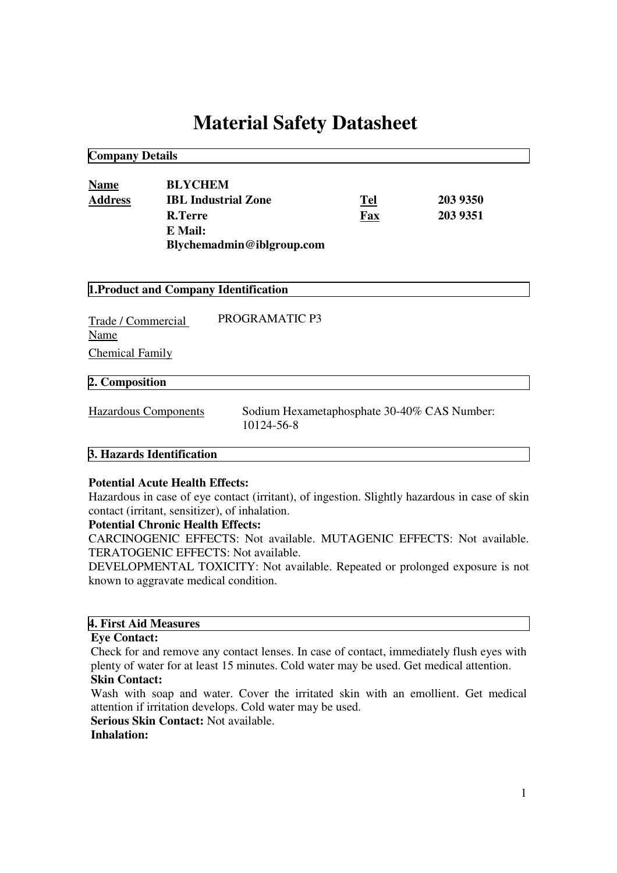# **Material Safety Datasheet**

**Company Details**

| <b>Name</b>    | <b>BLYCHEM</b>             |     |          |
|----------------|----------------------------|-----|----------|
| <b>Address</b> | <b>IBL Industrial Zone</b> | Tel | 203 9350 |
|                | <b>R.Terre</b>             | Fax | 203 9351 |
|                | E Mail:                    |     |          |
|                | Blychemadmin@iblgroup.com  |     |          |

| 1. Product and Company Identification |                                                           |  |  |  |
|---------------------------------------|-----------------------------------------------------------|--|--|--|
| Trade / Commercial<br>Name            | PROGRAMATIC P3                                            |  |  |  |
| <b>Chemical Family</b>                |                                                           |  |  |  |
| 2. Composition                        |                                                           |  |  |  |
| Hazardous Components                  | Sodium Hexametaphosphate 30-40% CAS Number:<br>10124-56-8 |  |  |  |

## **3. Hazards Identification**

#### **Potential Acute Health Effects:**

Hazardous in case of eye contact (irritant), of ingestion. Slightly hazardous in case of skin contact (irritant, sensitizer), of inhalation.

## **Potential Chronic Health Effects:**

CARCINOGENIC EFFECTS: Not available. MUTAGENIC EFFECTS: Not available. TERATOGENIC EFFECTS: Not available.

DEVELOPMENTAL TOXICITY: Not available. Repeated or prolonged exposure is not known to aggravate medical condition.

#### **4. First Aid Measures**

#### **Eye Contact:**

Check for and remove any contact lenses. In case of contact, immediately flush eyes with plenty of water for at least 15 minutes. Cold water may be used. Get medical attention.

# **Skin Contact:**

Wash with soap and water. Cover the irritated skin with an emollient. Get medical attention if irritation develops. Cold water may be used.

**Serious Skin Contact:** Not available.

# **Inhalation:**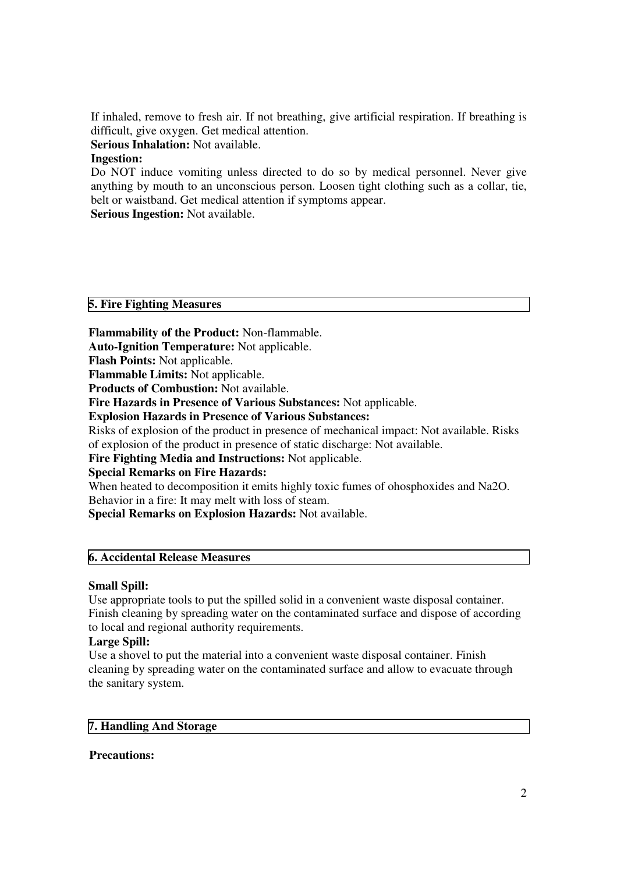If inhaled, remove to fresh air. If not breathing, give artificial respiration. If breathing is difficult, give oxygen. Get medical attention.

**Serious Inhalation:** Not available.

# **Ingestion:**

Do NOT induce vomiting unless directed to do so by medical personnel. Never give anything by mouth to an unconscious person. Loosen tight clothing such as a collar, tie, belt or waistband. Get medical attention if symptoms appear.

**Serious Ingestion:** Not available.

## **5. Fire Fighting Measures**

**Flammability of the Product:** Non-flammable.

**Auto-Ignition Temperature:** Not applicable.

**Flash Points:** Not applicable.

**Flammable Limits:** Not applicable.

**Products of Combustion:** Not available.

**Fire Hazards in Presence of Various Substances:** Not applicable.

**Explosion Hazards in Presence of Various Substances:**

Risks of explosion of the product in presence of mechanical impact: Not available. Risks of explosion of the product in presence of static discharge: Not available.

**Fire Fighting Media and Instructions:** Not applicable.

**Special Remarks on Fire Hazards:**

When heated to decomposition it emits highly toxic fumes of ohosphoxides and Na2O. Behavior in a fire: It may melt with loss of steam.

**Special Remarks on Explosion Hazards:** Not available.

# **6. Accidental Release Measures**

## **Small Spill:**

Use appropriate tools to put the spilled solid in a convenient waste disposal container. Finish cleaning by spreading water on the contaminated surface and dispose of according to local and regional authority requirements.

# **Large Spill:**

Use a shovel to put the material into a convenient waste disposal container. Finish cleaning by spreading water on the contaminated surface and allow to evacuate through the sanitary system.

## **7. Handling And Storage**

## **Precautions:**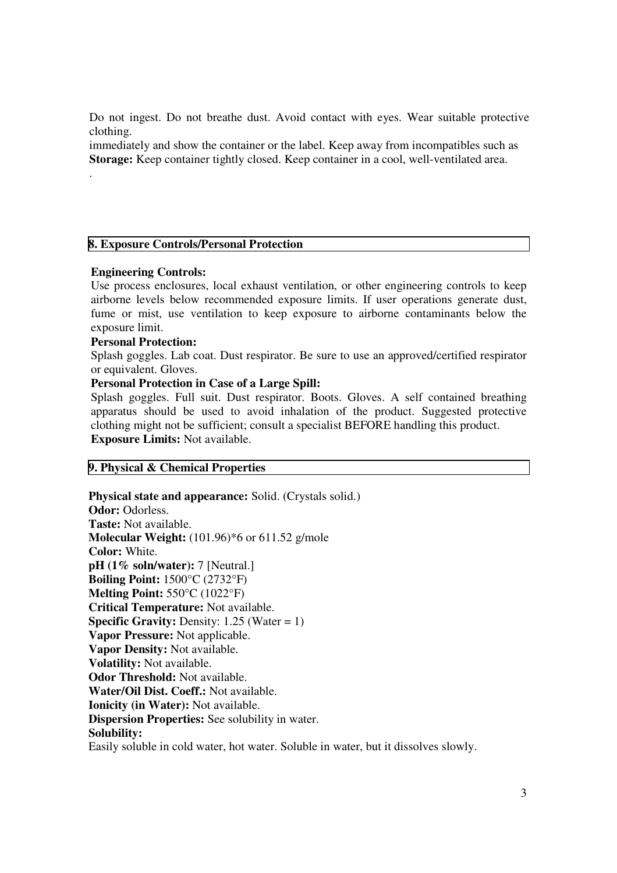Do not ingest. Do not breathe dust. Avoid contact with eyes. Wear suitable protective clothing.

immediately and show the container or the label. Keep away from incompatibles such as **Storage:** Keep container tightly closed. Keep container in a cool, well-ventilated area.

#### **8. Exposure Controls/Personal Protection**

#### **Engineering Controls:**

.

Use process enclosures, local exhaust ventilation, or other engineering controls to keep airborne levels below recommended exposure limits. If user operations generate dust, fume or mist, use ventilation to keep exposure to airborne contaminants below the exposure limit.

#### **Personal Protection:**

Splash goggles. Lab coat. Dust respirator. Be sure to use an approved/certified respirator or equivalent. Gloves.

## **Personal Protection in Case of a Large Spill:**

Splash goggles. Full suit. Dust respirator. Boots. Gloves. A self contained breathing apparatus should be used to avoid inhalation of the product. Suggested protective clothing might not be sufficient; consult a specialist BEFORE handling this product. **Exposure Limits:** Not available.

## **9. Physical & Chemical Properties**

**Physical state and appearance:** Solid. (Crystals solid.) **Odor:** Odorless. **Taste:** Not available. **Molecular Weight:** (101.96)\*6 or 611.52 g/mole **Color:** White. **pH (1% soln/water):** 7 [Neutral.] **Boiling Point:** 1500°C (2732°F) **Melting Point:** 550°C (1022°F) **Critical Temperature:** Not available. **Specific Gravity:** Density:  $1.25$  (Water = 1) **Vapor Pressure:** Not applicable. **Vapor Density:** Not available. **Volatility:** Not available. **Odor Threshold:** Not available. **Water/Oil Dist. Coeff.:** Not available. **Ionicity (in Water):** Not available. **Dispersion Properties:** See solubility in water. **Solubility:** Easily soluble in cold water, hot water. Soluble in water, but it dissolves slowly.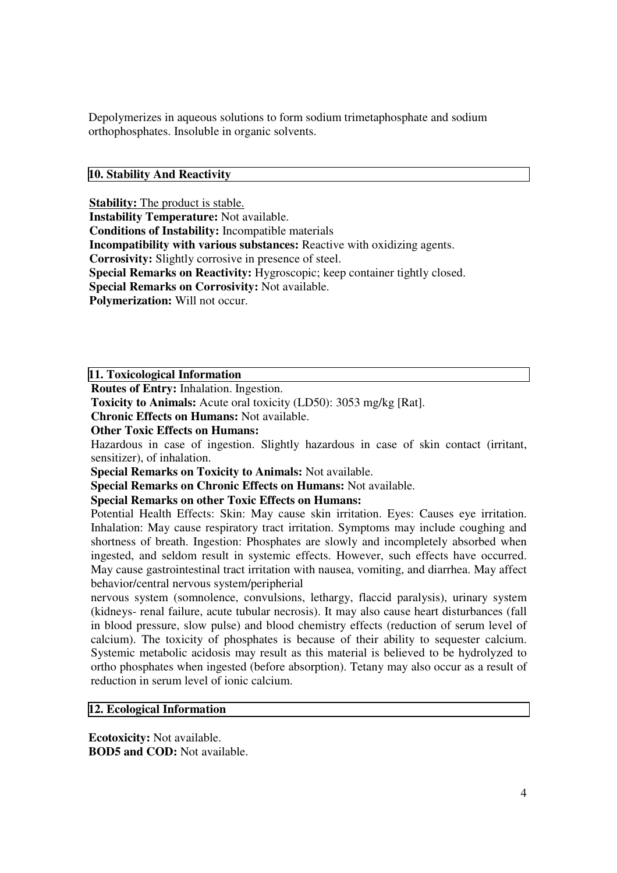Depolymerizes in aqueous solutions to form sodium trimetaphosphate and sodium orthophosphates. Insoluble in organic solvents.

## **10. Stability And Reactivity**

**Stability:** The product is stable.

**Instability Temperature:** Not available.

**Conditions of Instability:** Incompatible materials

**Incompatibility with various substances:** Reactive with oxidizing agents.

**Corrosivity:** Slightly corrosive in presence of steel.

**Special Remarks on Reactivity:** Hygroscopic; keep container tightly closed.

**Special Remarks on Corrosivity:** Not available.

**Polymerization:** Will not occur.

**11. Toxicological Information**

**Routes of Entry:** Inhalation. Ingestion.

**Toxicity to Animals:** Acute oral toxicity (LD50): 3053 mg/kg [Rat].

**Chronic Effects on Humans:** Not available.

**Other Toxic Effects on Humans:**

Hazardous in case of ingestion. Slightly hazardous in case of skin contact (irritant, sensitizer), of inhalation.

**Special Remarks on Toxicity to Animals:** Not available.

**Special Remarks on Chronic Effects on Humans:** Not available.

## **Special Remarks on other Toxic Effects on Humans:**

Potential Health Effects: Skin: May cause skin irritation. Eyes: Causes eye irritation. Inhalation: May cause respiratory tract irritation. Symptoms may include coughing and shortness of breath. Ingestion: Phosphates are slowly and incompletely absorbed when ingested, and seldom result in systemic effects. However, such effects have occurred. May cause gastrointestinal tract irritation with nausea, vomiting, and diarrhea. May affect behavior/central nervous system/peripherial

nervous system (somnolence, convulsions, lethargy, flaccid paralysis), urinary system (kidneys- renal failure, acute tubular necrosis). It may also cause heart disturbances (fall in blood pressure, slow pulse) and blood chemistry effects (reduction of serum level of calcium). The toxicity of phosphates is because of their ability to sequester calcium. Systemic metabolic acidosis may result as this material is believed to be hydrolyzed to ortho phosphates when ingested (before absorption). Tetany may also occur as a result of reduction in serum level of ionic calcium.

## **12. Ecological Information**

**Ecotoxicity:** Not available. **BOD5 and COD:** Not available.